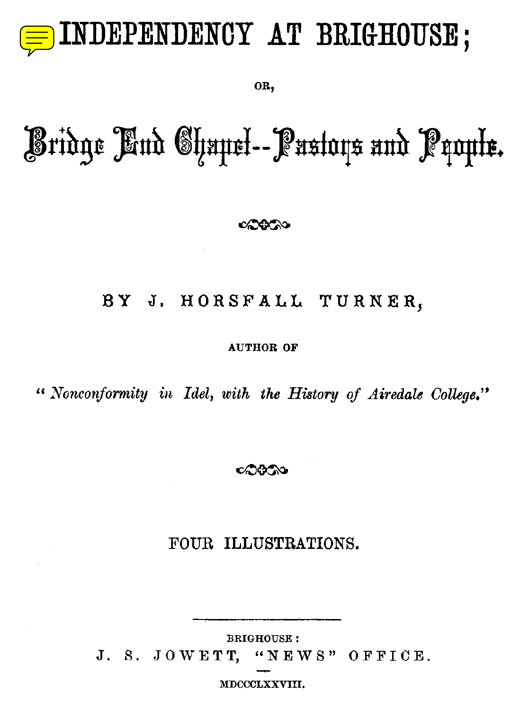

**OR ,**

# Bridge <sup>E</sup> nd Chapel -- Pastors and People.

## **8Y J . HORSFALL TURNER,**

**AUTHOR OF**

**"** *Nonconformity in Idel, with the History of Airedale College . "*

ೂಒ

## *FOUR ILLUSTRATIONS.*

**BRIGHOUSE :** J. S. JOWETT, "NEWS" OFFICE.

**MDCCCLXXVIII.**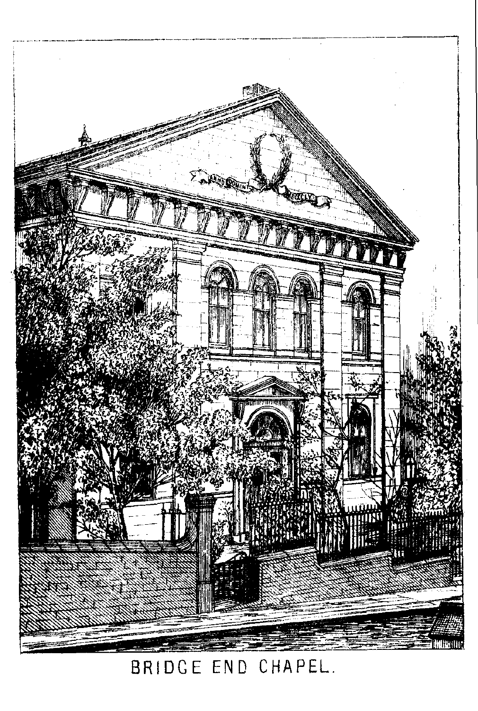

BRIDGE END CHAPEL.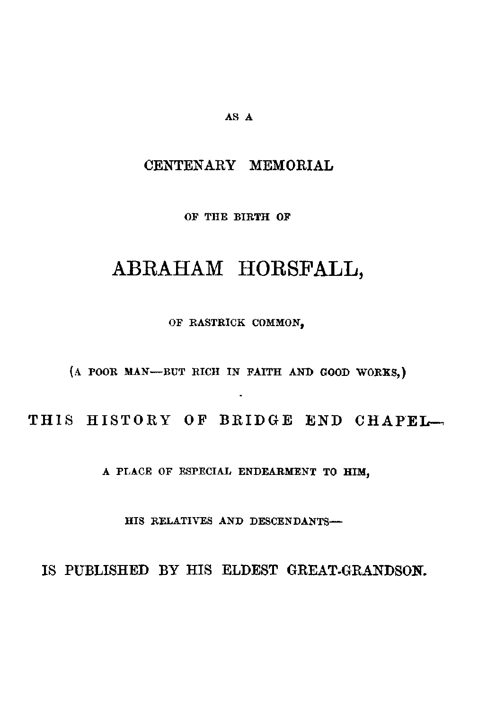#### AS A

### CENTENARY MEMORIAL

**OF THE BIRTH OF**

## ABRAHAM HORSFALL,

OF RASTRICK COMMON,

(A POOR MAN-BUT RICH IN FAITH AND GOOD WORKS,)

THIS HISTORY OF BRIDGE END CHAPEL-

**A PLACE OF ESPECIAL ENDEARMENT TO HIM,**

**HIS RELATIVES AND DESCENDANTS -**

IS PUBLISHED BY HIS ELDEST GREAT-GRANDSON.